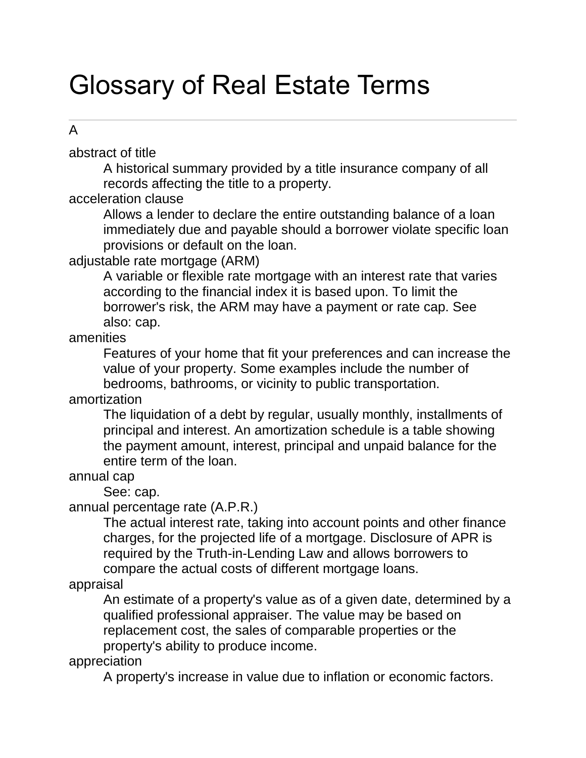# Glossary of Real Estate Terms

## A

abstract of title

A historical summary provided by a title insurance company of all records affecting the title to a property.

acceleration clause

Allows a lender to declare the entire outstanding balance of a loan immediately due and payable should a borrower violate specific loan provisions or default on the loan.

#### adjustable rate mortgage (ARM)

A variable or flexible rate mortgage with an interest rate that varies according to the financial index it is based upon. To limit the borrower's risk, the ARM may have a payment or rate cap. See also: cap.

amenities

Features of your home that fit your preferences and can increase the value of your property. Some examples include the number of bedrooms, bathrooms, or vicinity to public transportation.

amortization

The liquidation of a debt by regular, usually monthly, installments of principal and interest. An amortization schedule is a table showing the payment amount, interest, principal and unpaid balance for the entire term of the loan.

#### annual cap

See: cap.

annual percentage rate (A.P.R.)

The actual interest rate, taking into account points and other finance charges, for the projected life of a mortgage. Disclosure of APR is required by the Truth-in-Lending Law and allows borrowers to compare the actual costs of different mortgage loans.

appraisal

An estimate of a property's value as of a given date, determined by a qualified professional appraiser. The value may be based on replacement cost, the sales of comparable properties or the property's ability to produce income.

appreciation

A property's increase in value due to inflation or economic factors.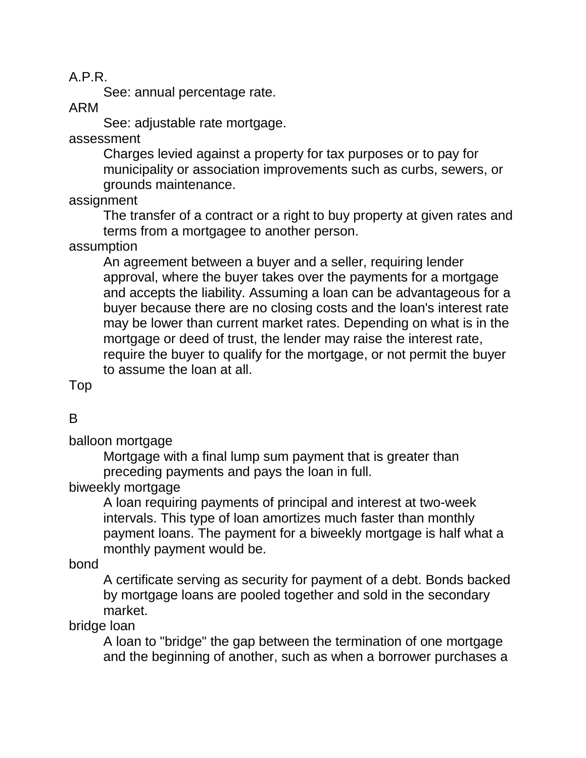A.P.R.

See: annual percentage rate.

ARM

See: adjustable rate mortgage.

assessment

Charges levied against a property for tax purposes or to pay for municipality or association improvements such as curbs, sewers, or grounds maintenance.

assignment

The transfer of a contract or a right to buy property at given rates and terms from a mortgagee to another person.

assumption

An agreement between a buyer and a seller, requiring lender approval, where the buyer takes over the payments for a mortgage and accepts the liability. Assuming a loan can be advantageous for a buyer because there are no closing costs and the loan's interest rate may be lower than current market rates. Depending on what is in the mortgage or deed of trust, the lender may raise the interest rate, require the buyer to qualify for the mortgage, or not permit the buyer to assume the loan at all.

Top

## B

balloon mortgage

Mortgage with a final lump sum payment that is greater than preceding payments and pays the loan in full.

biweekly mortgage

A loan requiring payments of principal and interest at two-week intervals. This type of loan amortizes much faster than monthly payment loans. The payment for a biweekly mortgage is half what a monthly payment would be.

#### bond

A certificate serving as security for payment of a debt. Bonds backed by mortgage loans are pooled together and sold in the secondary market.

bridge loan

A loan to "bridge" the gap between the termination of one mortgage and the beginning of another, such as when a borrower purchases a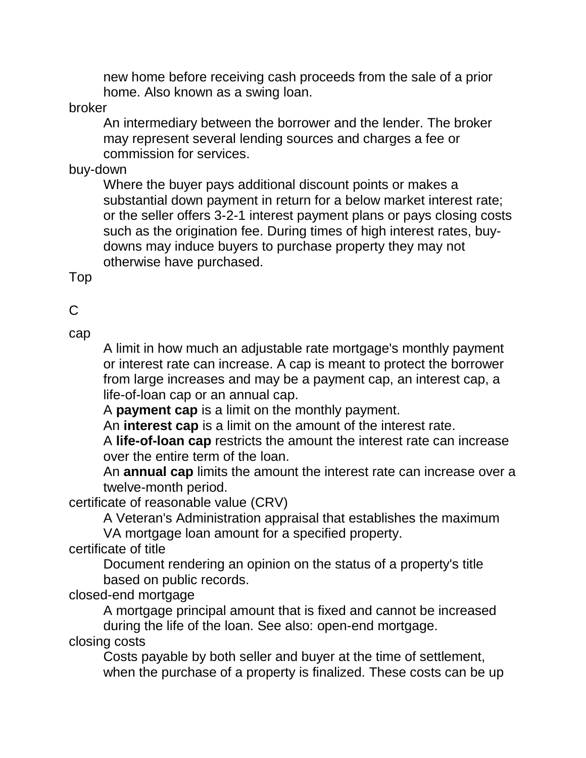new home before receiving cash proceeds from the sale of a prior home. Also known as a swing loan.

broker

An intermediary between the borrower and the lender. The broker may represent several lending sources and charges a fee or commission for services.

buy-down

Where the buyer pays additional discount points or makes a substantial down payment in return for a below market interest rate; or the seller offers 3-2-1 interest payment plans or pays closing costs such as the origination fee. During times of high interest rates, buydowns may induce buyers to purchase property they may not otherwise have purchased.

Top

 $\mathcal{C}$ 

cap

A limit in how much an adjustable rate mortgage's monthly payment or interest rate can increase. A cap is meant to protect the borrower from large increases and may be a payment cap, an interest cap, a life-of-loan cap or an annual cap.

A **payment cap** is a limit on the monthly payment.

An **interest cap** is a limit on the amount of the interest rate.

A **life-of-loan cap** restricts the amount the interest rate can increase over the entire term of the loan.

An **annual cap** limits the amount the interest rate can increase over a twelve-month period.

certificate of reasonable value (CRV)

A Veteran's Administration appraisal that establishes the maximum

VA mortgage loan amount for a specified property.

certificate of title

Document rendering an opinion on the status of a property's title based on public records.

closed-end mortgage

A mortgage principal amount that is fixed and cannot be increased during the life of the loan. See also: open-end mortgage.

closing costs

Costs payable by both seller and buyer at the time of settlement, when the purchase of a property is finalized. These costs can be up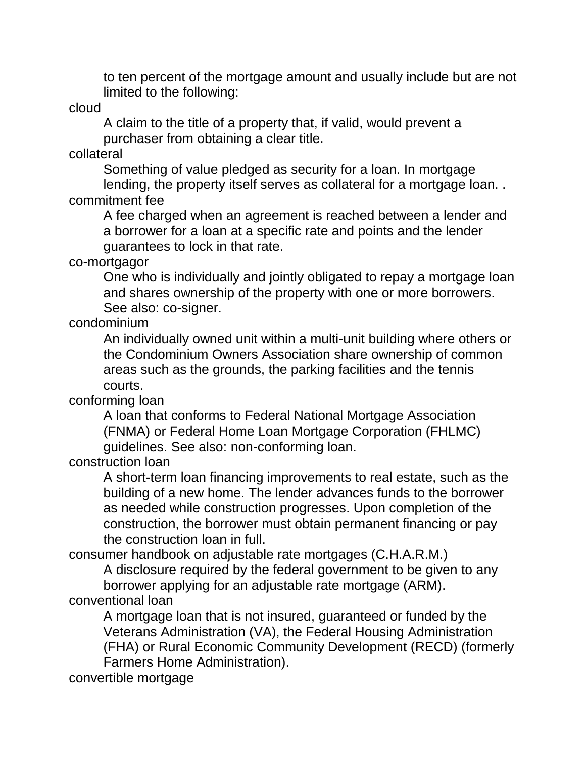to ten percent of the mortgage amount and usually include but are not limited to the following:

cloud

A claim to the title of a property that, if valid, would prevent a purchaser from obtaining a clear title.

collateral

Something of value pledged as security for a loan. In mortgage lending, the property itself serves as collateral for a mortgage loan. . commitment fee

A fee charged when an agreement is reached between a lender and a borrower for a loan at a specific rate and points and the lender guarantees to lock in that rate.

co-mortgagor

One who is individually and jointly obligated to repay a mortgage loan and shares ownership of the property with one or more borrowers. See also: co-signer.

condominium

An individually owned unit within a multi-unit building where others or the Condominium Owners Association share ownership of common areas such as the grounds, the parking facilities and the tennis courts.

conforming loan

A loan that conforms to Federal National Mortgage Association (FNMA) or Federal Home Loan Mortgage Corporation (FHLMC) guidelines. See also: non-conforming loan.

construction loan

A short-term loan financing improvements to real estate, such as the building of a new home. The lender advances funds to the borrower as needed while construction progresses. Upon completion of the construction, the borrower must obtain permanent financing or pay the construction loan in full.

consumer handbook on adjustable rate mortgages (C.H.A.R.M.)

A disclosure required by the federal government to be given to any borrower applying for an adjustable rate mortgage (ARM). conventional loan

A mortgage loan that is not insured, guaranteed or funded by the Veterans Administration (VA), the Federal Housing Administration (FHA) or Rural Economic Community Development (RECD) (formerly Farmers Home Administration).

convertible mortgage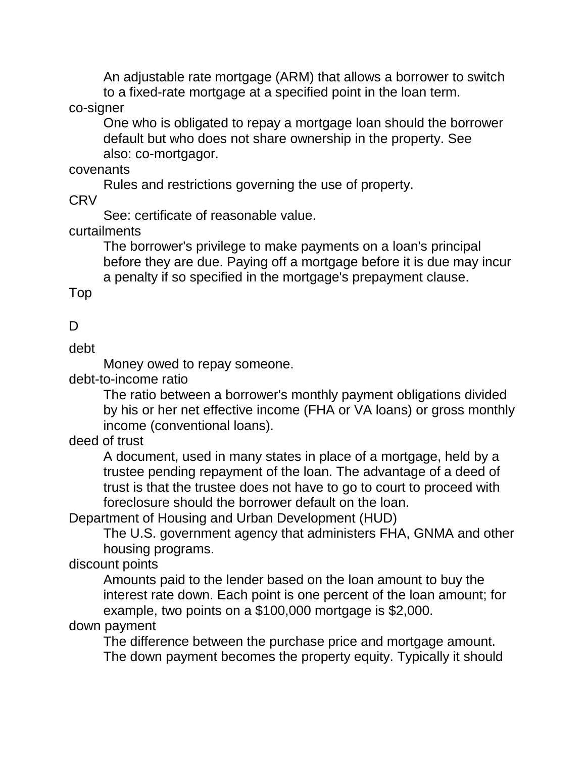An adjustable rate mortgage (ARM) that allows a borrower to switch to a fixed-rate mortgage at a specified point in the loan term.

#### co-signer

One who is obligated to repay a mortgage loan should the borrower default but who does not share ownership in the property. See also: co-mortgagor.

#### covenants

Rules and restrictions governing the use of property.

CRV

See: certificate of reasonable value.

## curtailments

The borrower's privilege to make payments on a loan's principal before they are due. Paying off a mortgage before it is due may incur a penalty if so specified in the mortgage's prepayment clause.

Top

## D

debt

Money owed to repay someone.

debt-to-income ratio

The ratio between a borrower's monthly payment obligations divided by his or her net effective income (FHA or VA loans) or gross monthly income (conventional loans).

## deed of trust

A document, used in many states in place of a mortgage, held by a trustee pending repayment of the loan. The advantage of a deed of trust is that the trustee does not have to go to court to proceed with foreclosure should the borrower default on the loan.

Department of Housing and Urban Development (HUD)

The U.S. government agency that administers FHA, GNMA and other housing programs.

## discount points

Amounts paid to the lender based on the loan amount to buy the interest rate down. Each point is one percent of the loan amount; for example, two points on a \$100,000 mortgage is \$2,000.

#### down payment

The difference between the purchase price and mortgage amount. The down payment becomes the property equity. Typically it should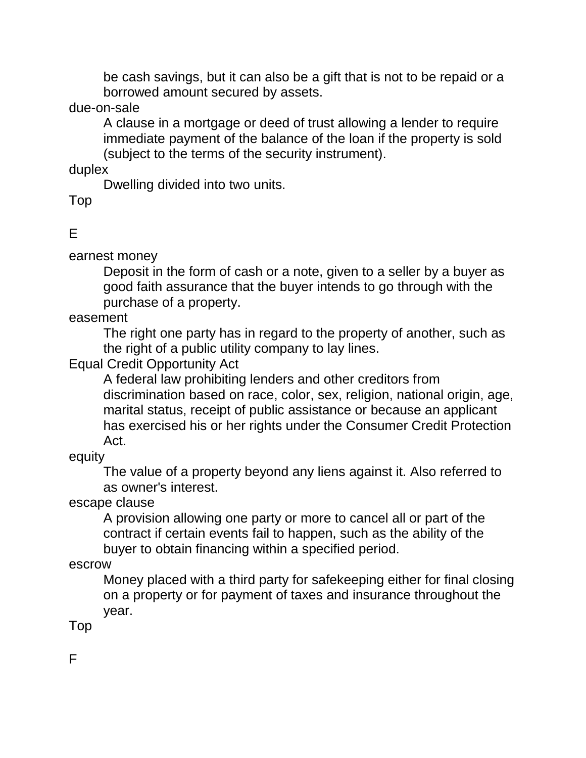be cash savings, but it can also be a gift that is not to be repaid or a borrowed amount secured by assets.

due-on-sale

A clause in a mortgage or deed of trust allowing a lender to require immediate payment of the balance of the loan if the property is sold (subject to the terms of the security instrument).

duplex

Dwelling divided into two units.

Top

E

earnest money

Deposit in the form of cash or a note, given to a seller by a buyer as good faith assurance that the buyer intends to go through with the purchase of a property.

easement

The right one party has in regard to the property of another, such as the right of a public utility company to lay lines.

Equal Credit Opportunity Act

A federal law prohibiting lenders and other creditors from discrimination based on race, color, sex, religion, national origin, age, marital status, receipt of public assistance or because an applicant has exercised his or her rights under the Consumer Credit Protection Act.

equity

The value of a property beyond any liens against it. Also referred to as owner's interest.

escape clause

A provision allowing one party or more to cancel all or part of the contract if certain events fail to happen, such as the ability of the buyer to obtain financing within a specified period.

escrow

Money placed with a third party for safekeeping either for final closing on a property or for payment of taxes and insurance throughout the year.

Top

F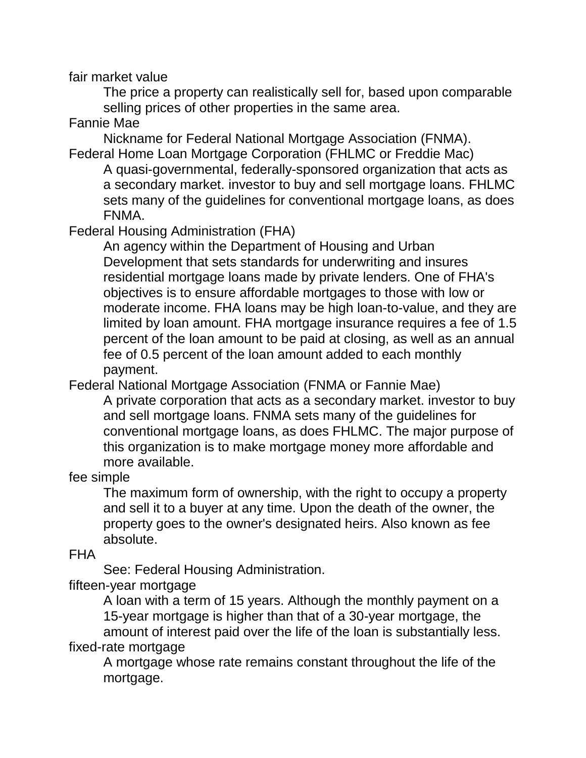fair market value

The price a property can realistically sell for, based upon comparable selling prices of other properties in the same area.

## Fannie Mae

Nickname for Federal National Mortgage Association (FNMA). Federal Home Loan Mortgage Corporation (FHLMC or Freddie Mac)

A quasi-governmental, federally-sponsored organization that acts as a secondary market. investor to buy and sell mortgage loans. FHLMC sets many of the guidelines for conventional mortgage loans, as does FNMA.

Federal Housing Administration (FHA)

An agency within the Department of Housing and Urban Development that sets standards for underwriting and insures residential mortgage loans made by private lenders. One of FHA's objectives is to ensure affordable mortgages to those with low or moderate income. FHA loans may be high loan-to-value, and they are limited by loan amount. FHA mortgage insurance requires a fee of 1.5 percent of the loan amount to be paid at closing, as well as an annual fee of 0.5 percent of the loan amount added to each monthly payment.

Federal National Mortgage Association (FNMA or Fannie Mae)

A private corporation that acts as a secondary market. investor to buy and sell mortgage loans. FNMA sets many of the guidelines for conventional mortgage loans, as does FHLMC. The major purpose of this organization is to make mortgage money more affordable and more available.

fee simple

The maximum form of ownership, with the right to occupy a property and sell it to a buyer at any time. Upon the death of the owner, the property goes to the owner's designated heirs. Also known as fee absolute.

FHA

See: Federal Housing Administration.

fifteen-year mortgage

A loan with a term of 15 years. Although the monthly payment on a 15-year mortgage is higher than that of a 30-year mortgage, the amount of interest paid over the life of the loan is substantially less. fixed-rate mortgage

A mortgage whose rate remains constant throughout the life of the mortgage.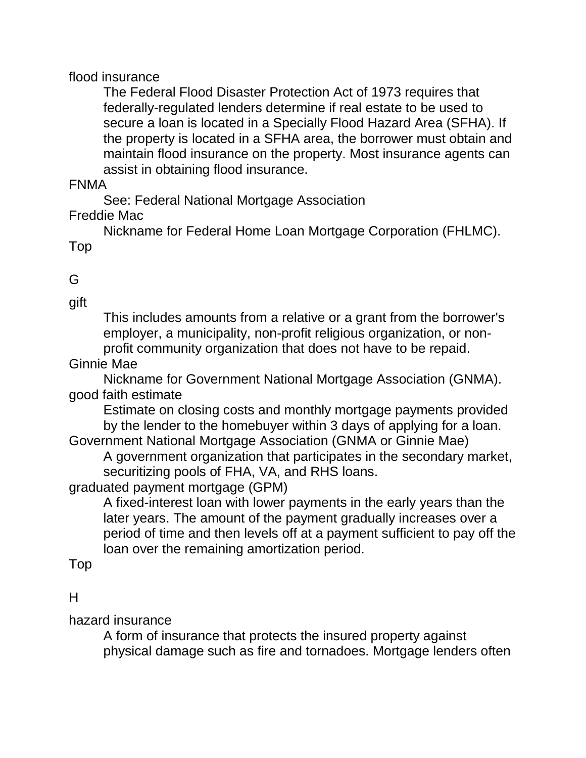#### flood insurance

The Federal Flood Disaster Protection Act of 1973 requires that federally-regulated lenders determine if real estate to be used to secure a loan is located in a Specially Flood Hazard Area (SFHA). If the property is located in a SFHA area, the borrower must obtain and maintain flood insurance on the property. Most insurance agents can assist in obtaining flood insurance.

#### FNMA

See: Federal National Mortgage Association

#### Freddie Mac

Nickname for Federal Home Loan Mortgage Corporation (FHLMC). Top

## G

gift

This includes amounts from a relative or a grant from the borrower's employer, a municipality, non-profit religious organization, or nonprofit community organization that does not have to be repaid.

Ginnie Mae

Nickname for Government National Mortgage Association (GNMA). good faith estimate

Estimate on closing costs and monthly mortgage payments provided by the lender to the homebuyer within 3 days of applying for a loan.

Government National Mortgage Association (GNMA or Ginnie Mae) A government organization that participates in the secondary market, securitizing pools of FHA, VA, and RHS loans.

graduated payment mortgage (GPM)

A fixed-interest loan with lower payments in the early years than the later years. The amount of the payment gradually increases over a period of time and then levels off at a payment sufficient to pay off the loan over the remaining amortization period.

Top

## H

hazard insurance

A form of insurance that protects the insured property against physical damage such as fire and tornadoes. Mortgage lenders often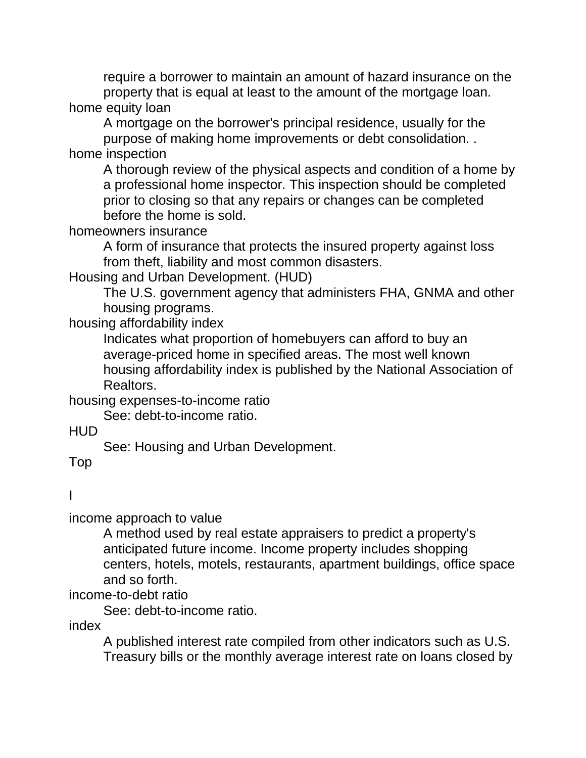require a borrower to maintain an amount of hazard insurance on the property that is equal at least to the amount of the mortgage loan. home equity loan

A mortgage on the borrower's principal residence, usually for the purpose of making home improvements or debt consolidation. .

home inspection

A thorough review of the physical aspects and condition of a home by a professional home inspector. This inspection should be completed prior to closing so that any repairs or changes can be completed before the home is sold.

homeowners insurance

A form of insurance that protects the insured property against loss from theft, liability and most common disasters.

Housing and Urban Development. (HUD)

The U.S. government agency that administers FHA, GNMA and other housing programs.

housing affordability index

Indicates what proportion of homebuyers can afford to buy an average-priced home in specified areas. The most well known housing affordability index is published by the National Association of Realtors.

housing expenses-to-income ratio

See: debt-to-income ratio.

HUD

See: Housing and Urban Development.

Top

## I

income approach to value

A method used by real estate appraisers to predict a property's anticipated future income. Income property includes shopping centers, hotels, motels, restaurants, apartment buildings, office space and so forth.

income-to-debt ratio

See: debt-to-income ratio.

index

A published interest rate compiled from other indicators such as U.S. Treasury bills or the monthly average interest rate on loans closed by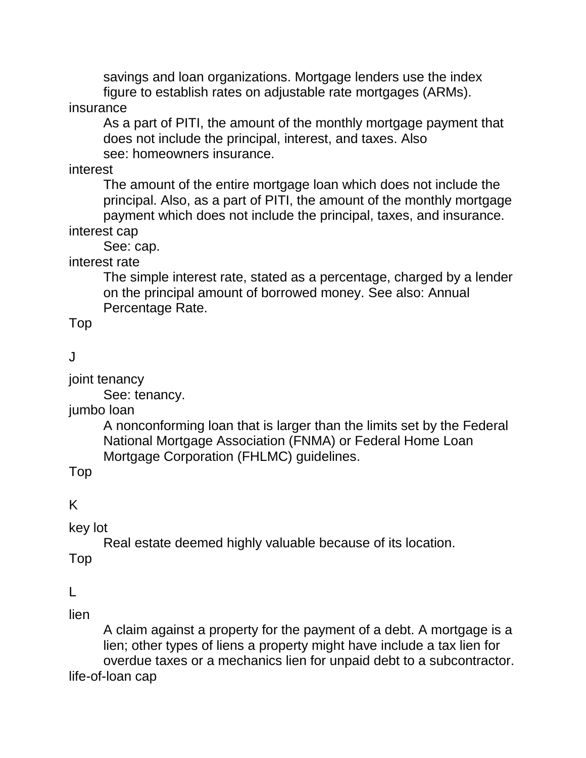savings and loan organizations. Mortgage lenders use the index figure to establish rates on adjustable rate mortgages (ARMs).

## insurance

As a part of PITI, the amount of the monthly mortgage payment that does not include the principal, interest, and taxes. Also see: homeowners insurance.

interest

The amount of the entire mortgage loan which does not include the principal. Also, as a part of PITI, the amount of the monthly mortgage payment which does not include the principal, taxes, and insurance. interest cap

See: cap.

interest rate

The simple interest rate, stated as a percentage, charged by a lender on the principal amount of borrowed money. See also: Annual Percentage Rate.

Top

 $\mathbf{J}$ 

joint tenancy

See: tenancy.

jumbo loan

A nonconforming loan that is larger than the limits set by the Federal National Mortgage Association (FNMA) or Federal Home Loan Mortgage Corporation (FHLMC) guidelines.

Top

K

key lot

Real estate deemed highly valuable because of its location.

Top

 $\mathbf{L}$ 

lien

A claim against a property for the payment of a debt. A mortgage is a lien; other types of liens a property might have include a tax lien for overdue taxes or a mechanics lien for unpaid debt to a subcontractor. life-of-loan cap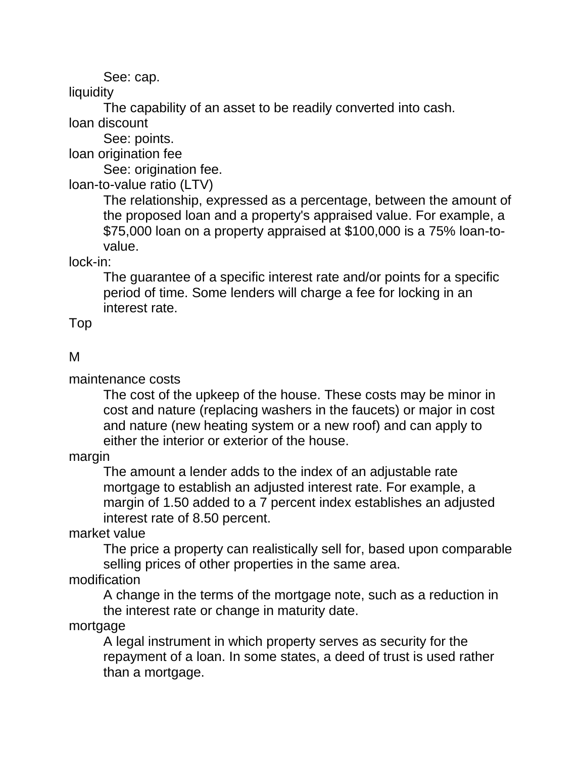See: cap.

**liquidity** 

The capability of an asset to be readily converted into cash.

loan discount

See: points.

loan origination fee

See: origination fee.

loan-to-value ratio (LTV)

The relationship, expressed as a percentage, between the amount of the proposed loan and a property's appraised value. For example, a \$75,000 loan on a property appraised at \$100,000 is a 75% loan-tovalue.

lock-in:

The guarantee of a specific interest rate and/or points for a specific period of time. Some lenders will charge a fee for locking in an interest rate.

Top

## M

maintenance costs

The cost of the upkeep of the house. These costs may be minor in cost and nature (replacing washers in the faucets) or major in cost and nature (new heating system or a new roof) and can apply to either the interior or exterior of the house.

margin

The amount a lender adds to the index of an adjustable rate mortgage to establish an adjusted interest rate. For example, a margin of 1.50 added to a 7 percent index establishes an adjusted interest rate of 8.50 percent.

market value

The price a property can realistically sell for, based upon comparable selling prices of other properties in the same area.

modification

A change in the terms of the mortgage note, such as a reduction in the interest rate or change in maturity date.

mortgage

A legal instrument in which property serves as security for the repayment of a loan. In some states, a deed of trust is used rather than a mortgage.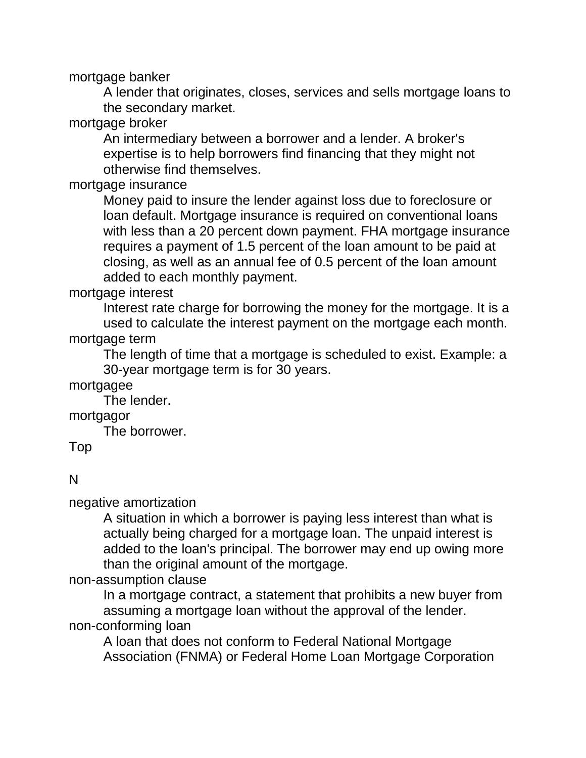mortgage banker

A lender that originates, closes, services and sells mortgage loans to the secondary market.

mortgage broker

An intermediary between a borrower and a lender. A broker's expertise is to help borrowers find financing that they might not otherwise find themselves.

mortgage insurance

Money paid to insure the lender against loss due to foreclosure or loan default. Mortgage insurance is required on conventional loans with less than a 20 percent down payment. FHA mortgage insurance requires a payment of 1.5 percent of the loan amount to be paid at closing, as well as an annual fee of 0.5 percent of the loan amount added to each monthly payment.

mortgage interest

Interest rate charge for borrowing the money for the mortgage. It is a used to calculate the interest payment on the mortgage each month. mortgage term

The length of time that a mortgage is scheduled to exist. Example: a 30-year mortgage term is for 30 years.

mortgagee

The lender.

mortgagor

The borrower.

Top

#### N

negative amortization

A situation in which a borrower is paying less interest than what is actually being charged for a mortgage loan. The unpaid interest is added to the loan's principal. The borrower may end up owing more than the original amount of the mortgage.

non-assumption clause

In a mortgage contract, a statement that prohibits a new buyer from assuming a mortgage loan without the approval of the lender. non-conforming loan

A loan that does not conform to Federal National Mortgage Association (FNMA) or Federal Home Loan Mortgage Corporation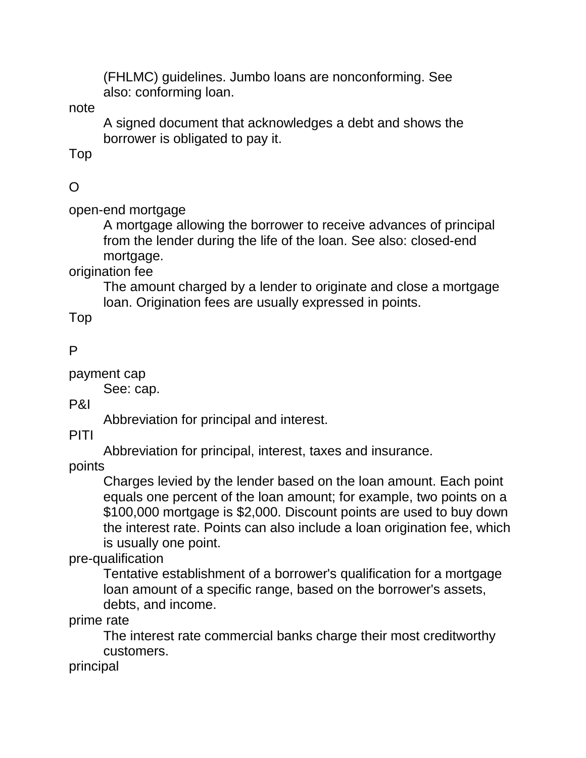(FHLMC) guidelines. Jumbo loans are nonconforming. See also: conforming loan.

note

A signed document that acknowledges a debt and shows the borrower is obligated to pay it.

Top

# $\Omega$

open-end mortgage

A mortgage allowing the borrower to receive advances of principal from the lender during the life of the loan. See also: closed-end mortgage.

origination fee

The amount charged by a lender to originate and close a mortgage loan. Origination fees are usually expressed in points.

Top

#### P

payment cap

See: cap.

P&I

Abbreviation for principal and interest.

PITI

Abbreviation for principal, interest, taxes and insurance.

points

Charges levied by the lender based on the loan amount. Each point equals one percent of the loan amount; for example, two points on a \$100,000 mortgage is \$2,000. Discount points are used to buy down the interest rate. Points can also include a loan origination fee, which is usually one point.

pre-qualification

Tentative establishment of a borrower's qualification for a mortgage loan amount of a specific range, based on the borrower's assets, debts, and income.

prime rate

The interest rate commercial banks charge their most creditworthy customers.

principal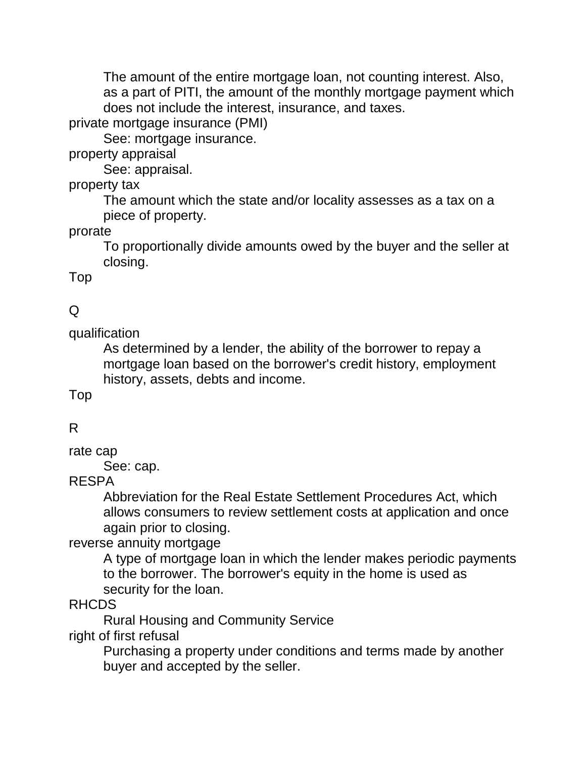The amount of the entire mortgage loan, not counting interest. Also, as a part of PITI, the amount of the monthly mortgage payment which does not include the interest, insurance, and taxes.

private mortgage insurance (PMI)

See: mortgage insurance.

property appraisal

See: appraisal.

property tax

The amount which the state and/or locality assesses as a tax on a piece of property.

prorate

To proportionally divide amounts owed by the buyer and the seller at closing.

Top

## Q

qualification

As determined by a lender, the ability of the borrower to repay a mortgage loan based on the borrower's credit history, employment history, assets, debts and income.

Top

## R

rate cap

See: cap.

#### RESPA

Abbreviation for the Real Estate Settlement Procedures Act, which allows consumers to review settlement costs at application and once again prior to closing.

reverse annuity mortgage

A type of mortgage loan in which the lender makes periodic payments to the borrower. The borrower's equity in the home is used as security for the loan.

#### RHCDS

Rural Housing and Community Service right of first refusal

> Purchasing a property under conditions and terms made by another buyer and accepted by the seller.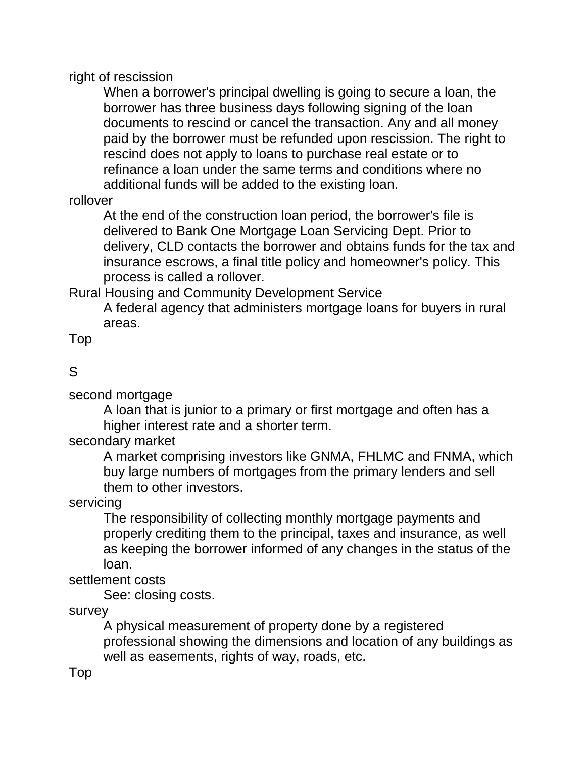right of rescission

When a borrower's principal dwelling is going to secure a loan, the borrower has three business days following signing of the loan documents to rescind or cancel the transaction. Any and all money paid by the borrower must be refunded upon rescission. The right to rescind does not apply to loans to purchase real estate or to refinance a loan under the same terms and conditions where no additional funds will be added to the existing loan.

## rollover

At the end of the construction loan period, the borrower's file is delivered to Bank One Mortgage Loan Servicing Dept. Prior to delivery, CLD contacts the borrower and obtains funds for the tax and insurance escrows, a final title policy and homeowner's policy. This process is called a rollover.

Rural Housing and Community Development Service

A federal agency that administers mortgage loans for buyers in rural areas.

Top

# S

second mortgage

A loan that is junior to a primary or first mortgage and often has a higher interest rate and a shorter term.

secondary market

A market comprising investors like GNMA, FHLMC and FNMA, which buy large numbers of mortgages from the primary lenders and sell them to other investors.

servicing

The responsibility of collecting monthly mortgage payments and properly crediting them to the principal, taxes and insurance, as well as keeping the borrower informed of any changes in the status of the loan.

settlement costs

See: closing costs.

survey

A physical measurement of property done by a registered professional showing the dimensions and location of any buildings as well as easements, rights of way, roads, etc.

Top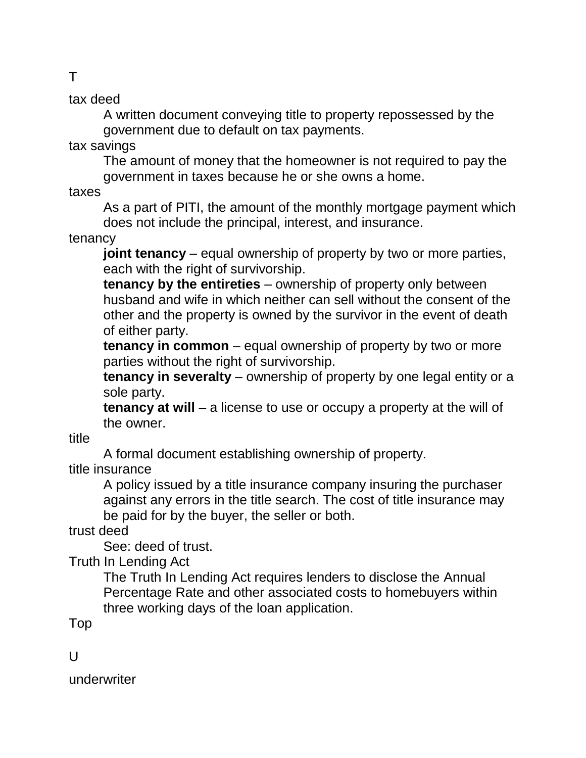tax deed

A written document conveying title to property repossessed by the government due to default on tax payments.

tax savings

The amount of money that the homeowner is not required to pay the government in taxes because he or she owns a home.

taxes

As a part of PITI, the amount of the monthly mortgage payment which does not include the principal, interest, and insurance.

tenancy

**joint tenancy** – equal ownership of property by two or more parties, each with the right of survivorship.

**tenancy by the entireties** – ownership of property only between husband and wife in which neither can sell without the consent of the other and the property is owned by the survivor in the event of death of either party.

**tenancy in common** – equal ownership of property by two or more parties without the right of survivorship.

**tenancy in severalty** – ownership of property by one legal entity or a sole party.

**tenancy at will** – a license to use or occupy a property at the will of the owner.

title

A formal document establishing ownership of property.

title insurance

A policy issued by a title insurance company insuring the purchaser against any errors in the title search. The cost of title insurance may be paid for by the buyer, the seller or both.

trust deed

See: deed of trust.

Truth In Lending Act

The Truth In Lending Act requires lenders to disclose the Annual Percentage Rate and other associated costs to homebuyers within three working days of the loan application.

Top

 $\mathbf{U}$ 

underwriter

T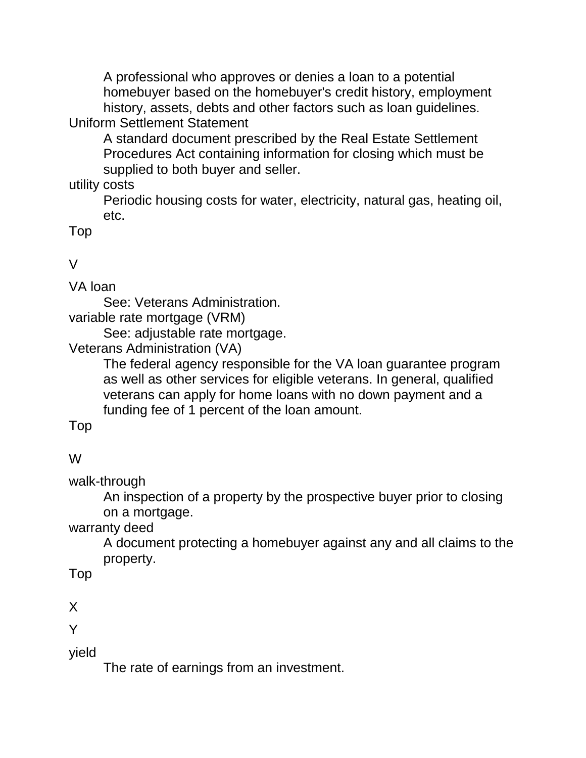A professional who approves or denies a loan to a potential homebuyer based on the homebuyer's credit history, employment history, assets, debts and other factors such as loan guidelines. Uniform Settlement Statement

A standard document prescribed by the Real Estate Settlement Procedures Act containing information for closing which must be supplied to both buyer and seller.

utility costs

Periodic housing costs for water, electricity, natural gas, heating oil, etc.

Top

V

VA loan

See: Veterans Administration.

variable rate mortgage (VRM)

See: adjustable rate mortgage.

Veterans Administration (VA)

The federal agency responsible for the VA loan guarantee program as well as other services for eligible veterans. In general, qualified veterans can apply for home loans with no down payment and a funding fee of 1 percent of the loan amount.

Top

## W

walk-through

An inspection of a property by the prospective buyer prior to closing on a mortgage.

warranty deed

A document protecting a homebuyer against any and all claims to the property.

Top

X

Y

yield

The rate of earnings from an investment.